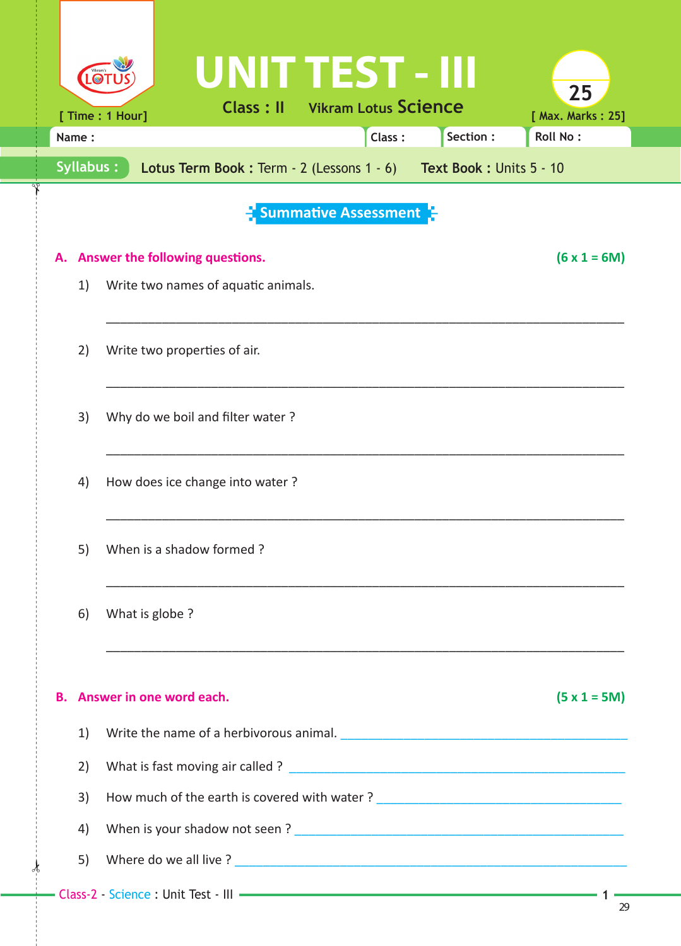|                                                                                |                                                           |                              | UNIT TEST - III                  |  |                                       |          |                                                                                                                   |  |  |  |  |  |
|--------------------------------------------------------------------------------|-----------------------------------------------------------|------------------------------|----------------------------------|--|---------------------------------------|----------|-------------------------------------------------------------------------------------------------------------------|--|--|--|--|--|
|                                                                                | [ Time : 1 Hour]                                          |                              |                                  |  | <b>Class: Il Vikram Lotus Science</b> |          | 25<br>[ Max. Marks: 25]                                                                                           |  |  |  |  |  |
| Name:                                                                          |                                                           |                              |                                  |  | Class:                                | Section: | <b>Roll No:</b>                                                                                                   |  |  |  |  |  |
| Syllabus:<br>Lotus Term Book: Term - 2 (Lessons 1 - 6) Text Book: Units 5 - 10 |                                                           |                              |                                  |  |                                       |          |                                                                                                                   |  |  |  |  |  |
|                                                                                |                                                           |                              |                                  |  |                                       |          |                                                                                                                   |  |  |  |  |  |
| <b>Summative Assessment</b>                                                    |                                                           |                              |                                  |  |                                       |          |                                                                                                                   |  |  |  |  |  |
|                                                                                | $(6 \times 1 = 6M)$<br>A. Answer the following questions. |                              |                                  |  |                                       |          |                                                                                                                   |  |  |  |  |  |
| 1)                                                                             | Write two names of aquatic animals.                       |                              |                                  |  |                                       |          |                                                                                                                   |  |  |  |  |  |
|                                                                                |                                                           |                              |                                  |  |                                       |          |                                                                                                                   |  |  |  |  |  |
| 2)                                                                             |                                                           | Write two properties of air. |                                  |  |                                       |          |                                                                                                                   |  |  |  |  |  |
|                                                                                |                                                           |                              |                                  |  |                                       |          |                                                                                                                   |  |  |  |  |  |
| 3)                                                                             |                                                           |                              | Why do we boil and filter water? |  |                                       |          |                                                                                                                   |  |  |  |  |  |
|                                                                                |                                                           |                              |                                  |  |                                       |          |                                                                                                                   |  |  |  |  |  |
| 4)                                                                             |                                                           |                              | How does ice change into water?  |  |                                       |          |                                                                                                                   |  |  |  |  |  |
|                                                                                |                                                           |                              |                                  |  |                                       |          |                                                                                                                   |  |  |  |  |  |
| 5)                                                                             |                                                           | When is a shadow formed?     |                                  |  |                                       |          |                                                                                                                   |  |  |  |  |  |
|                                                                                |                                                           |                              |                                  |  |                                       |          |                                                                                                                   |  |  |  |  |  |
| 6)                                                                             |                                                           |                              |                                  |  |                                       |          |                                                                                                                   |  |  |  |  |  |
|                                                                                | What is globe ?                                           |                              |                                  |  |                                       |          |                                                                                                                   |  |  |  |  |  |
|                                                                                |                                                           |                              |                                  |  |                                       |          |                                                                                                                   |  |  |  |  |  |
|                                                                                | <b>B.</b> Answer in one word each.                        |                              |                                  |  |                                       |          | $(5 x 1 = 5M)$                                                                                                    |  |  |  |  |  |
| 1)                                                                             |                                                           |                              |                                  |  |                                       |          |                                                                                                                   |  |  |  |  |  |
| 2)                                                                             |                                                           |                              |                                  |  |                                       |          |                                                                                                                   |  |  |  |  |  |
| 3)                                                                             |                                                           |                              |                                  |  |                                       |          | How much of the earth is covered with water? ___________________________________                                  |  |  |  |  |  |
| 4)                                                                             |                                                           |                              |                                  |  |                                       |          |                                                                                                                   |  |  |  |  |  |
| 5)                                                                             |                                                           |                              |                                  |  |                                       |          |                                                                                                                   |  |  |  |  |  |
|                                                                                |                                                           |                              |                                  |  |                                       |          | - Class-2 - Science : Unit Test - III - Class-2 - Science : Unit Test - III - Class-2 - Science : Unit Test - III |  |  |  |  |  |

 $\star$ 

✁

29